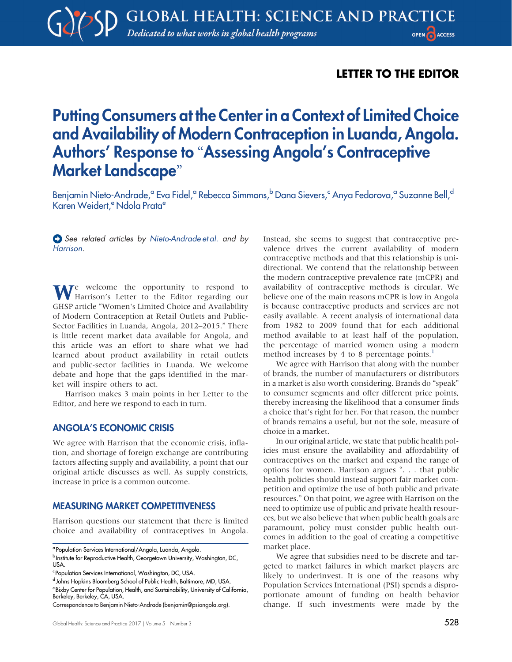# LETTER TO THE EDITOR

# Putting Consumers at the Center in a Context of Limited Choice and Availability of Modern Contraception in Luanda, Angola. Authors' Response to "Assessing Angola's Contraceptive Market Landscape"

Benjamin Nieto-Andrade,<sup>a</sup> Eva Fidel,<sup>a</sup> Rebecca Simmons,<sup>b</sup> Dana Sievers,<sup>c</sup> Anya Fedorova,<sup>a</sup> Suzanne Bell,<sup>d</sup> Karen Weidert,<sup>e</sup> Ndola Prata<sup>e</sup>

See related articles by [Nieto-Andrade et al.](http://dx.doi.org/10.9745/GHSP-D-16-00304) and by [Harrison](http://dx.doi.org/10.9745/GHSP-D-17-00165).

We welcome the opportunity to respond to Harrison's Letter to the Editor regarding our GHSP article "Women's Limited Choice and Availability of Modern Contraception at Retail Outlets and Public-Sector Facilities in Luanda, Angola, 2012–2015." There is little recent market data available for Angola, and this article was an effort to share what we had learned about product availability in retail outlets and public-sector facilities in Luanda. We welcome debate and hope that the gaps identified in the market will inspire others to act.

Harrison makes 3 main points in her Letter to the Editor, and here we respond to each in turn.

#### ANGOLA'S ECONOMIC CRISIS

We agree with Harrison that the economic crisis, inflation, and shortage of foreign exchange are contributing factors affecting supply and availability, a point that our original article discusses as well. As supply constricts, increase in price is a common outcome.

#### MEASURING MARKET COMPETITIVENESS

Harrison questions our statement that there is limited choice and availability of contraceptives in Angola.

Berkeley, Berkeley, CA, USA.

Instead, she seems to suggest that contraceptive prevalence drives the current availability of modern contraceptive methods and that this relationship is unidirectional. We contend that the relationship between the modern contraceptive prevalence rate (mCPR) and availability of contraceptive methods is circular. We believe one of the main reasons mCPR is low in Angola is because contraceptive products and services are not easily available. A recent analysis of international data from 1982 to 2009 found that for each additional method available to at least half of the population, the percentage of married women using a modern method increases by 4 to 8 percentage points. $<sup>1</sup>$  $<sup>1</sup>$  $<sup>1</sup>$ </sup>

We agree with Harrison that along with the number of brands, the number of manufacturers or distributors in a market is also worth considering. Brands do "speak" to consumer segments and offer different price points, thereby increasing the likelihood that a consumer finds a choice that's right for her. For that reason, the number of brands remains a useful, but not the sole, measure of choice in a market.

In our original article, we state that public health policies must ensure the availability and affordability of contraceptives on the market and expand the range of options for women. Harrison argues ". . . that public health policies should instead support fair market competition and optimize the use of both public and private resources." On that point, we agree with Harrison on the need to optimize use of public and private health resources, but we also believe that when public health goals are paramount, policy must consider public health outcomes in addition to the goal of creating a competitive market place.

We agree that subsidies need to be discrete and targeted to market failures in which market players are likely to underinvest. It is one of the reasons why Population Services International (PSI) spends a disproportionate amount of funding on health behavior change. If such investments were made by the

<sup>a</sup> Population Services International/Angola, Luanda, Angola.

b Institute for Reproductive Health, Georgetown University, Washington, DC, USA.

<sup>&</sup>lt;sup>c</sup> Population Services International, Washington, DC, USA.

d Johns Hopkins Bloomberg School of Public Health, Baltimore, MD, USA. eBixby Center for Population, Health, and Sustainability, University of California,

Correspondence to Benjamin Nieto-Andrade ([benjamin@psiangola.org\)](mailto:benjamin@psiangola.org).